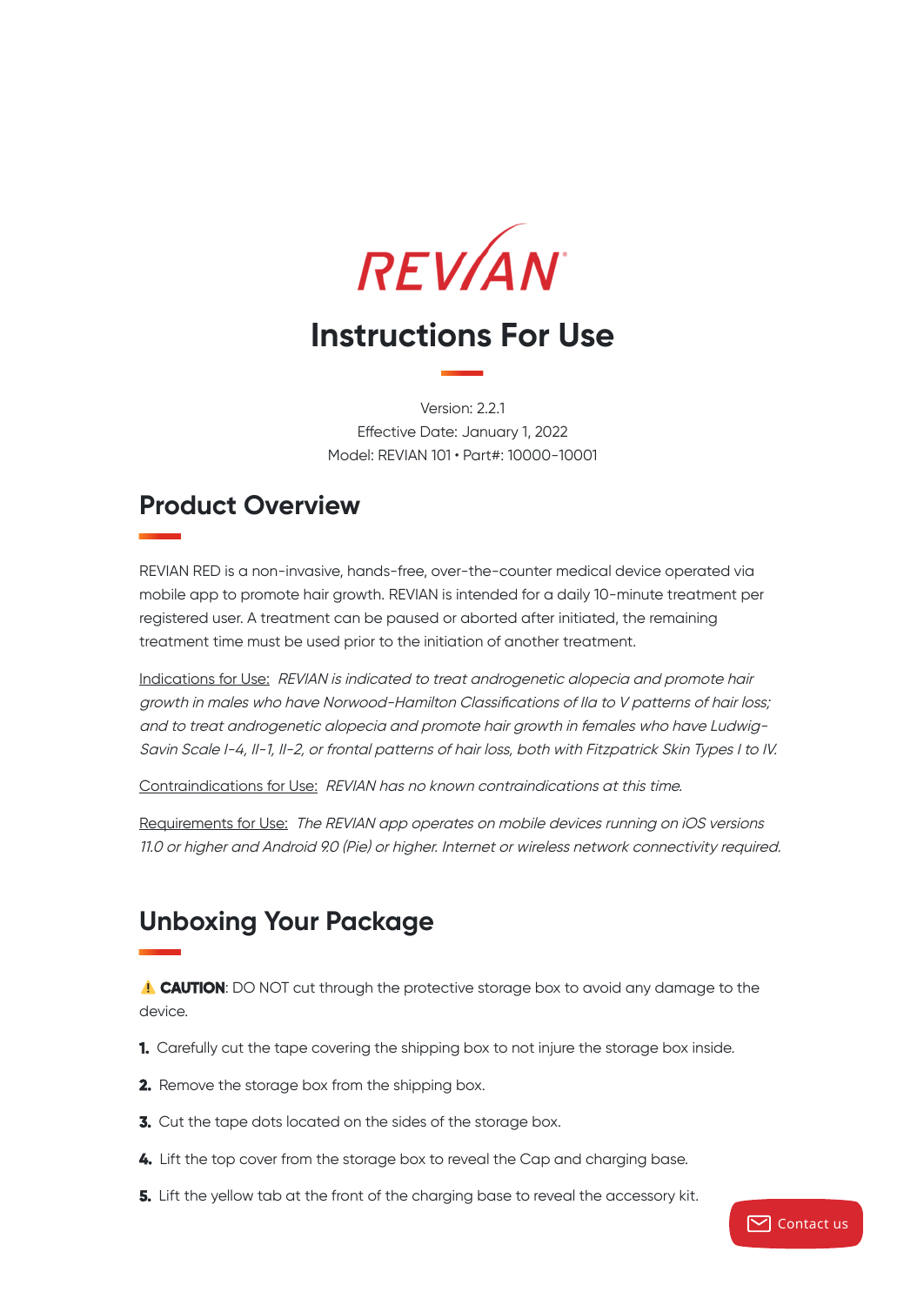

Version: 2.2.1 Effective Date: January 1, 2022 Model: REVIAN 101 • Part#: 10000-10001

### **Product Overview**

REVIAN RED is a non-invasive, hands-free, over-the-counter medical device operated via mobile app to promote hair growth. REVIAN is intended for a daily 10-minute treatment per registered user. A treatment can be paused or aborted after initiated, the remaining treatment time must be used prior to the initiation of another treatment.

Indications for Use: REVIAN is indicated to treat androgenetic alopecia and promote hair growth in males who have Norwood-Hamilton Classifications of IIa to V patterns of hair loss; and to treat androgenetic alopecia and promote hair growth in females who have Ludwig-Savin Scale I-4, II-1, II-2, or frontal patterns of hair loss, both with Fitzpatrick Skin Types I to IV.

Contraindications for Use: REVIAN has no known contraindications at this time.

Requirements for Use: The REVIAN app operates on mobile devices running on iOS versions 11.0 or higher and Android 9.0 (Pie) or higher. Internet or wireless network connectivity required.

## **Unboxing Your Package**

**CAUTION**: DO NOT cut through the protective storage box to avoid any damage to the device.

- **1.** Carefully cut the tape covering the shipping box to not injure the storage box inside.
- **2.** Remove the storage box from the shipping box.
- **3.** Cut the tape dots located on the sides of the storage box.
- **4.** Lift the top cover from the storage box to reveal the Cap and charging base.
- **5.** Lift the yellow tab at the front of the charging base to reveal the accessory kit.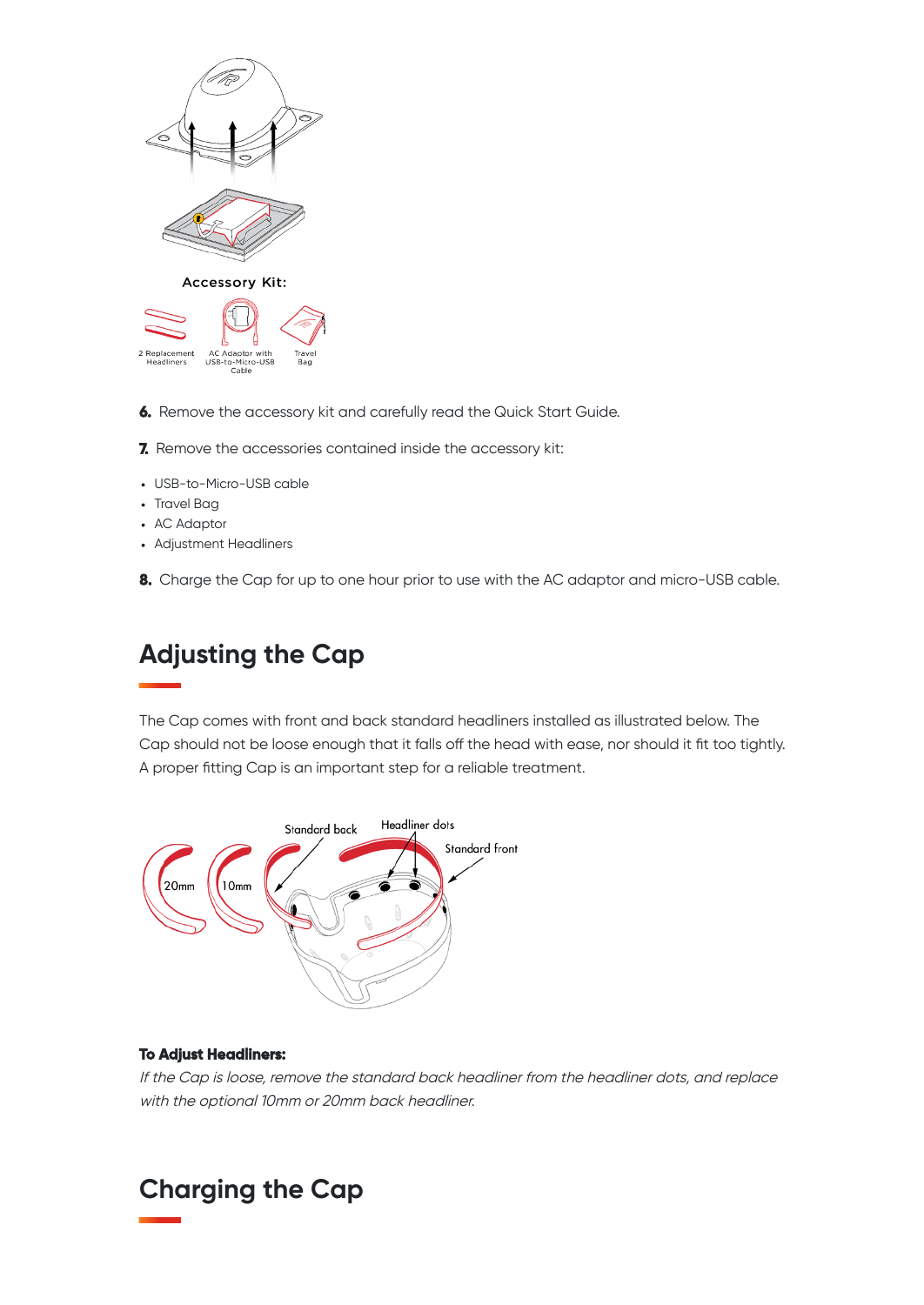

- **6.** Remove the accessory kit and carefully read the Quick Start Guide.
- **7.** Remove the accessories contained inside the accessory kit:
- USB-to-Micro-USB cable
- Travel Bag
- AC Adaptor
- Adjustment Headliners
- **8.** Charge the Cap for up to one hour prior to use with the AC adaptor and micro-USB cable.

# **Adjusting the Cap**

The Cap comes with front and back standard headliners installed as illustrated below. The Cap should not be loose enough that it falls off the head with ease, nor should it fit too tightly. A proper fitting Cap is an important step for a reliable treatment.



#### **To Adjust Headliners:**

If the Cap is loose, remove the standard back headliner from the headliner dots, and replace with the optional 10mm or 20mm back headliner.

## **Charging the Cap**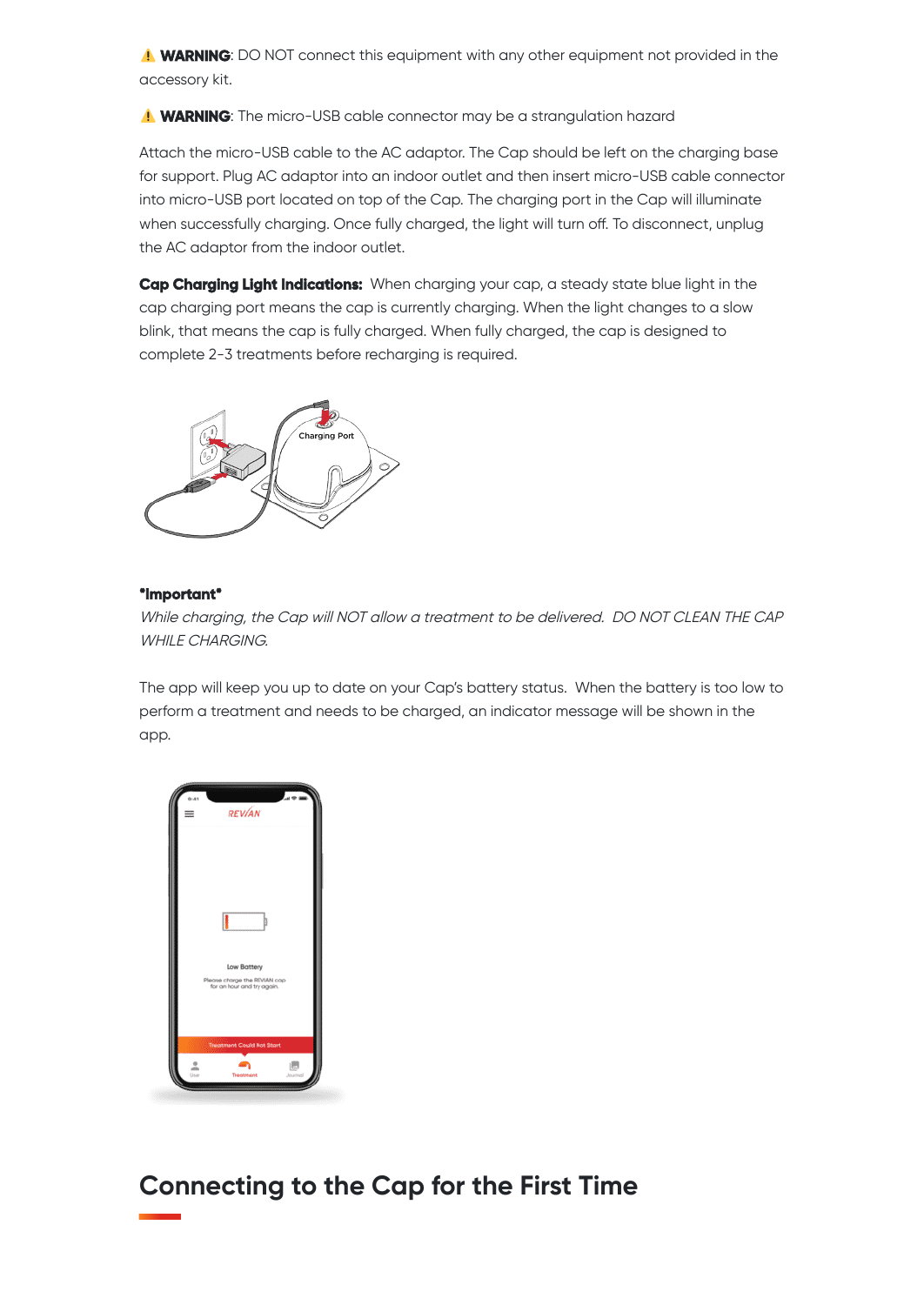**WARNING**: DO NOT connect this equipment with any other equipment not provided in the accessory kit.

**WARNING**: The micro-USB cable connector may be a strangulation hazard

Attach the micro-USB cable to the AC adaptor. The Cap should be left on the charging base for support. Plug AC adaptor into an indoor outlet and then insert micro-USB cable connector into micro-USB port located on top of the Cap. The charging port in the Cap will illuminate when successfully charging. Once fully charged, the light will turn off. To disconnect, unplug the AC adaptor from the indoor outlet.

**Cap Charging Light Indications:** When charging your cap, a steady state blue light in the cap charging port means the cap is currently charging. When the light changes to a slow blink, that means the cap is fully charged. When fully charged, the cap is designed to complete 2-3 treatments before recharging is required.



#### **\*Important\***

While charging, the Cap will NOT allow <sup>a</sup> treatment to be delivered. DO NOT CLEAN THE CAP WHILE CHARGING.

The app will keep you up to date on your Cap's battery status. When the battery is too low to perform a treatment and needs to be charged, an indicator message will be shown in the app.



**Connecting to the Cap for the First Time**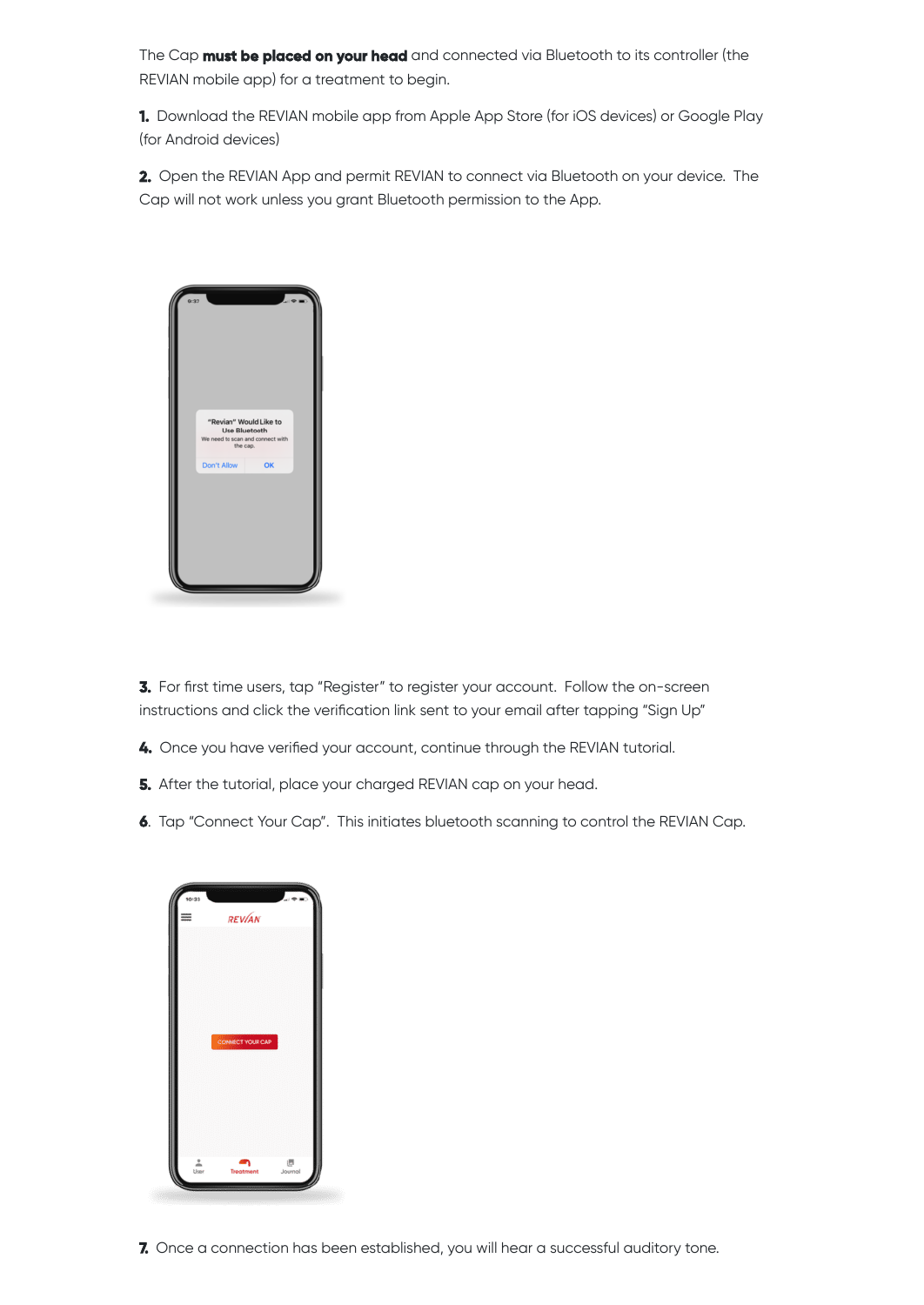The Cap **must be placed on your head** and connected via Bluetooth to its controller (the REVIAN mobile app) for a treatment to begin.

**1.** Download the REVIAN mobile app from Apple App Store (for iOS devices) or Google Play (for Android devices)

**2.** Open the REVIAN App and permit REVIAN to connect via Bluetooth on your device. The Cap will not work unless you grant Bluetooth permission to the App.



**3.** For first time users, tap "Register" to register your account. Follow the on-screen instructions and click the verification link sent to your email after tapping "Sign Up"

- **4.** Once you have verified your account, continue through the REVIAN tutorial.
- **5.** After the tutorial, place your charged REVIAN cap on your head.
- **6**. Tap "Connect Your Cap". This initiates bluetooth scanning to control the REVIAN Cap.

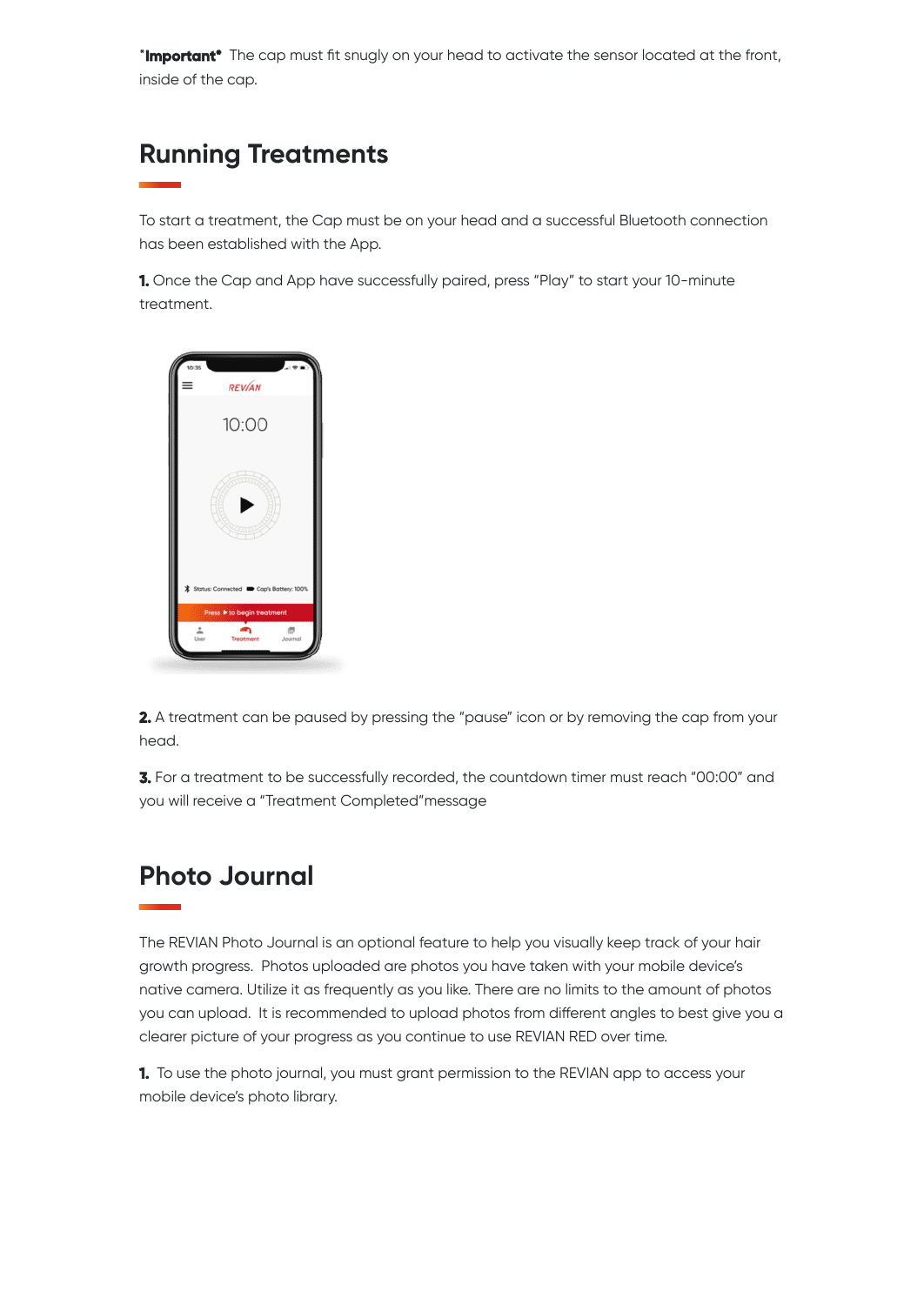\***Important\*** The cap must fit snugly on your head to activate the sensor located at the front, inside of the cap.

## **Running Treatments**

To start a treatment, the Cap must be on your head and a successful Bluetooth connection has been established with the App.

**1.** Once the Cap and App have successfully paired, press "Play" to start your 10-minute treatment.



**2.** A treatment can be paused by pressing the "pause" icon or by removing the cap from your head.

**3.** For a treatment to be successfully recorded, the countdown timer must reach "00:00" and you will receive a "Treatment Completed"message

## **Photo Journal**

The REVIAN Photo Journal is an optional feature to help you visually keep track of your hair growth progress. Photos uploaded are photos you have taken with your mobile device's native camera. Utilize it as frequently as you like. There are no limits to the amount of photos you can upload. It is recommended to upload photos from different angles to best give you a clearer picture of your progress as you continue to use REVIAN RED over time.

**1.** To use the photo journal, you must grant permission to the REVIAN app to access your mobile device's photo library.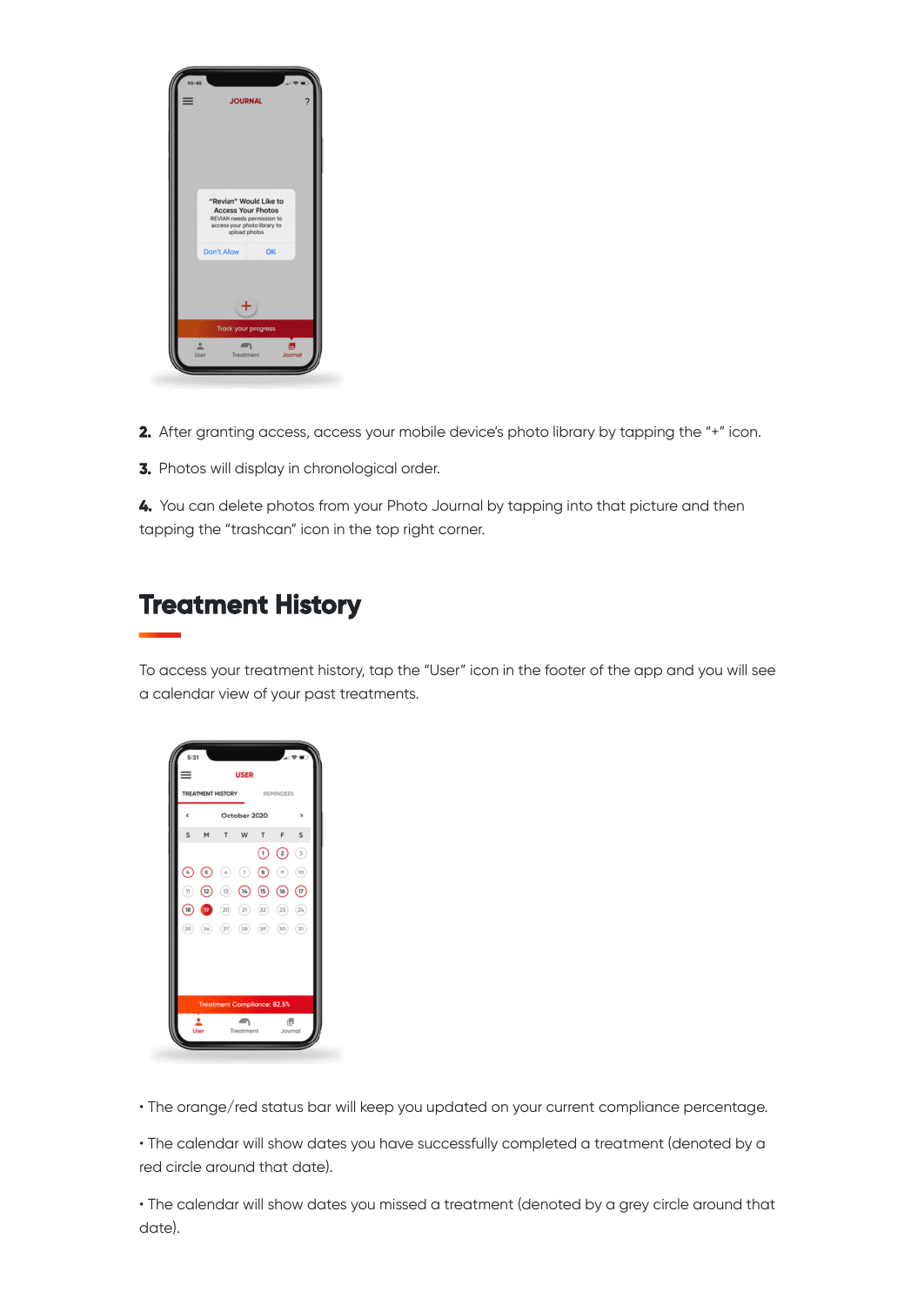

- **2.** After granting access, access your mobile device's photo library by tapping the "+" icon.
- **3.** Photos will display in chronological order.

**4.** You can delete photos from your Photo Journal by tapping into that picture and then tapping the "trashcan" icon in the top right corner.

## **Treatment History**

To access your treatment history, tap the "User" icon in the footer of the app and you will see a calendar view of your past treatments.



• The orange/red status bar will keep you updated on your current compliance percentage.

• The calendar will show dates you have successfully completed a treatment (denoted by a red circle around that date).

• The calendar will show dates you missed a treatment (denoted by a grey circle around that date).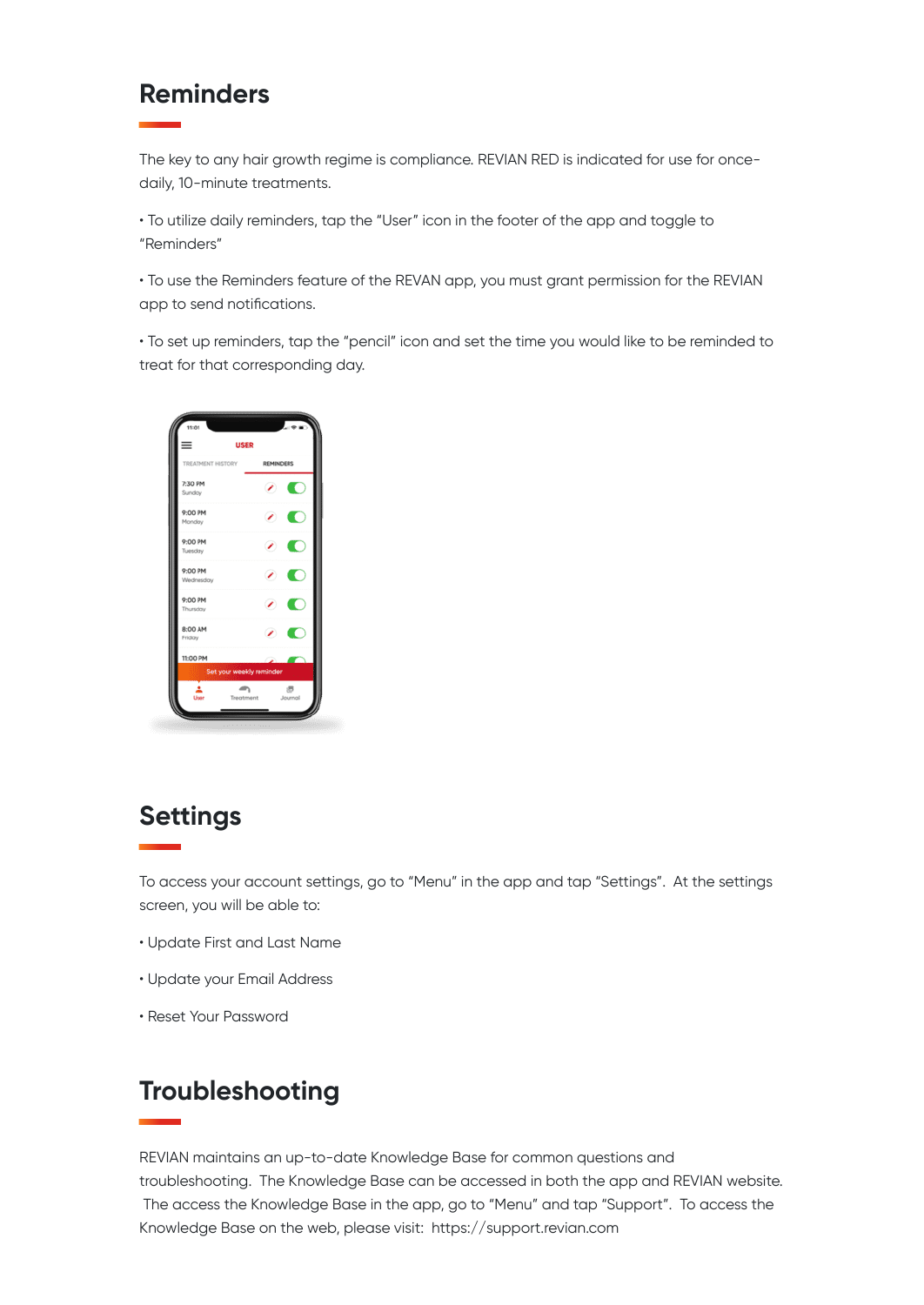#### **Reminders**

The key to any hair growth regime is compliance. REVIAN RED is indicated for use for oncedaily, 10-minute treatments.

• To utilize daily reminders, tap the "User" icon in the footer of the app and toggle to "Reminders"

• To use the Reminders feature of the REVAN app, you must grant permission for the REVIAN app to send notifications.

• To set up reminders, tap the "pencil" icon and set the time you would like to be reminded to treat for that corresponding day.



## **Settings**

To access your account settings, go to "Menu" in the app and tap "Settings". At the settings screen, you will be able to:

- Update First and Last Name
- Update your Email Address
- Reset Your Password

## **Troubleshooting**

REVIAN maintains an up-to-date Knowledge Base for common questions and troubleshooting. The Knowledge Base can be accessed in both the app and REVIAN website. The access the Knowledge Base in the app, go to "Menu" and tap "Support". To access the Knowledge Base on the web, please visit: https://support.revian.com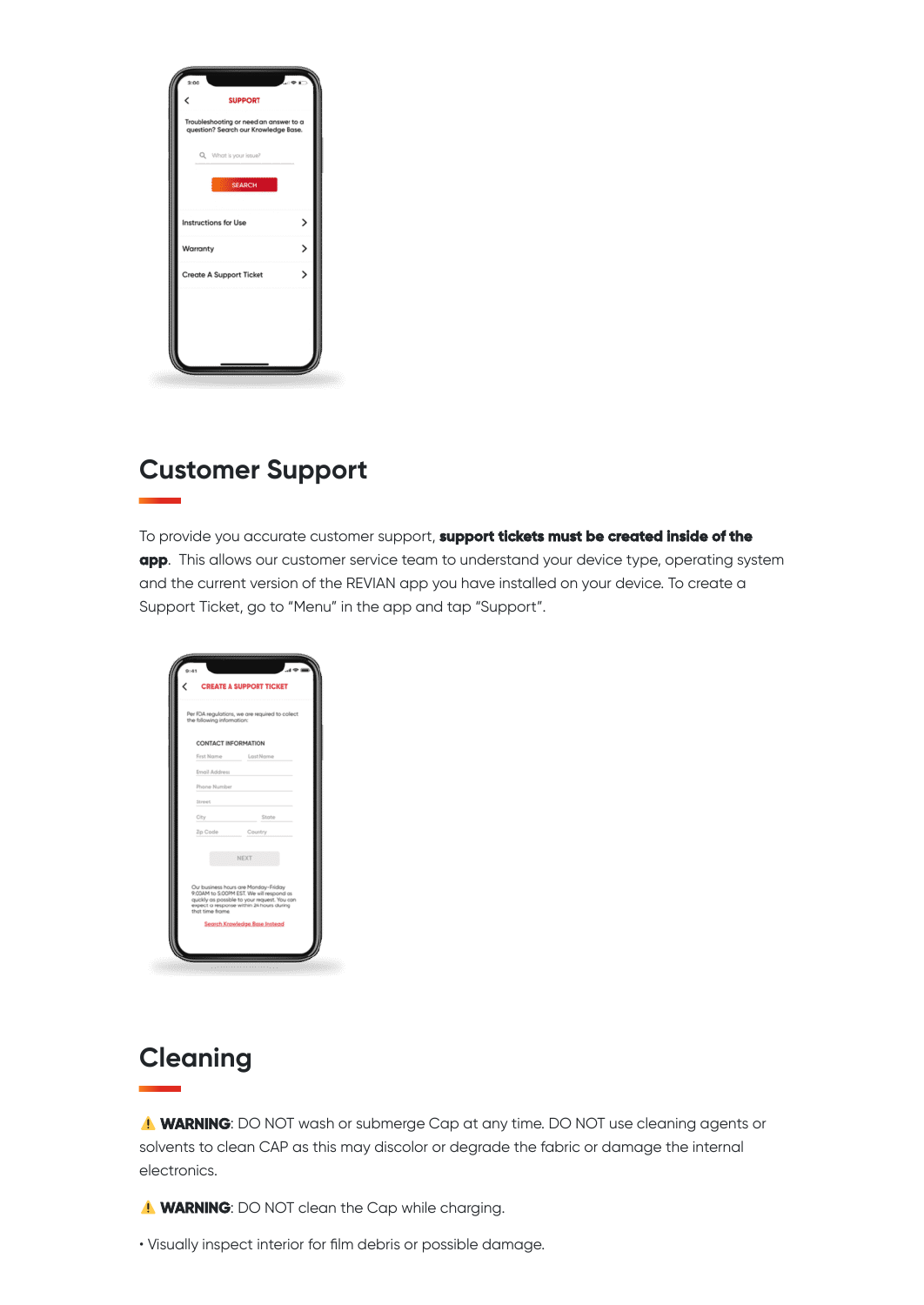| Troubleshooting or need an answer to a<br>question? Search our Knowledge Base.<br>Q. What is your issue?<br><b>SEARCH</b><br>><br>Instructions for Use<br>><br>Warranty<br>5<br><b>Create A Support Ticket</b> | < | <b>SUPPORT</b> |  |
|----------------------------------------------------------------------------------------------------------------------------------------------------------------------------------------------------------------|---|----------------|--|
|                                                                                                                                                                                                                |   |                |  |
|                                                                                                                                                                                                                |   |                |  |
|                                                                                                                                                                                                                |   |                |  |
|                                                                                                                                                                                                                |   |                |  |
|                                                                                                                                                                                                                |   |                |  |
|                                                                                                                                                                                                                |   |                |  |
|                                                                                                                                                                                                                |   |                |  |

## **Customer Support**

To provide you accurate customer support, **support tickets must be created inside of the app**. This allows our customer service team to understand your device type, operating system and the current version of the REVIAN app you have installed on your device. To create a Support Ticket, go to "Menu" in the app and tap "Support".

|                            | <b>CREATE A SUPPORT TICKET</b>                                                                                                                                               |
|----------------------------|------------------------------------------------------------------------------------------------------------------------------------------------------------------------------|
|                            |                                                                                                                                                                              |
| the following information: | Per FDA regulations, we are required to collect                                                                                                                              |
|                            | CONTACT INFORMATION                                                                                                                                                          |
| First Name                 | Last Name                                                                                                                                                                    |
| Email Address              |                                                                                                                                                                              |
| Phone Number               |                                                                                                                                                                              |
| Street                     |                                                                                                                                                                              |
| City                       | State                                                                                                                                                                        |
| Zip Code                   | Country                                                                                                                                                                      |
|                            | NEXT                                                                                                                                                                         |
| that time frome.           | Our business hours are Monday-Friday<br>9:00AM to 5:00PM EST. We will respond as<br>quickly as possible to your request. You can<br>expect a response within 24 hours during |
|                            | Search Knowledge Base Instead                                                                                                                                                |

# **Cleaning**

**WARNING**: DO NOT wash or submerge Cap at any time. DO NOT use cleaning agents or solvents to clean CAP as this may discolor or degrade the fabric or damage the internal electronics.

**WARNING**: DO NOT clean the Cap while charging.

• Visually inspect interior for film debris or possible damage.